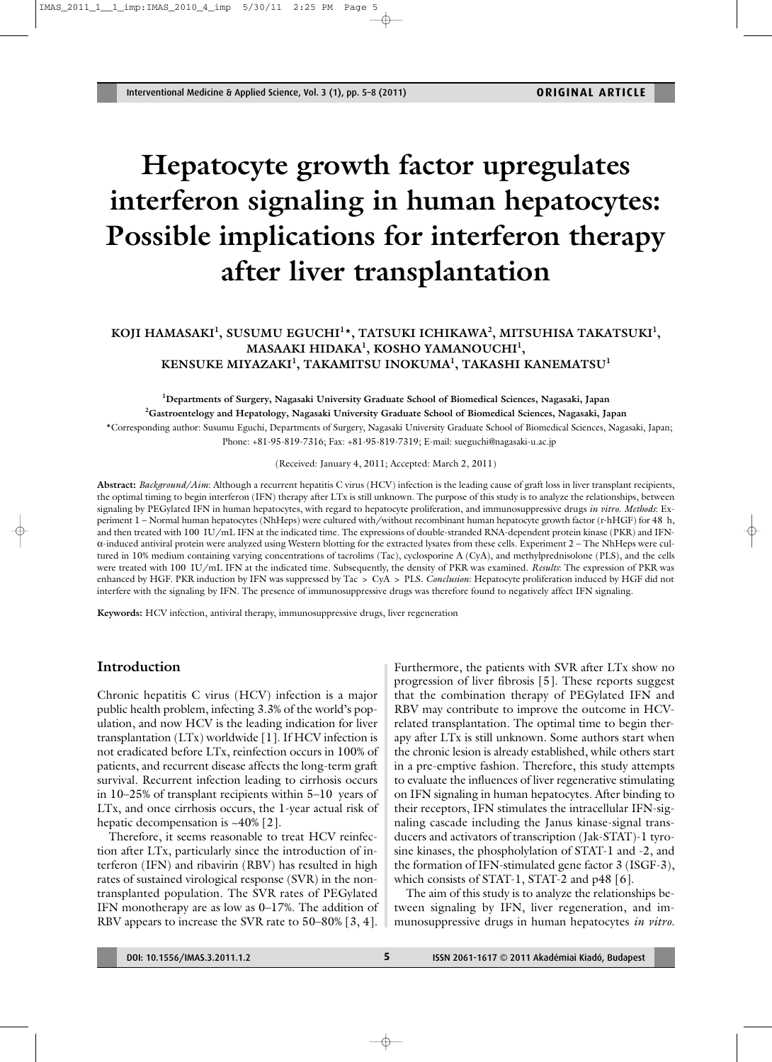# **Hepatocyte growth factor upregulates interferon signaling in human hepatocytes: Possible implications for interferon therapy after liver transplantation**

## **KOJI HAMASAKI1 , SUSUMU EGUCHI1 \*, TATSUKI ICHIKAWA2 , MITSUHISA TAKATSUKI1 , MASAAKI HIDAKA1 , KOSHO YAMANOUCHI1 , KENSUKE MIYAZAKI1 , TAKAMITSU INOKUMA1 , TAKASHI KANEMATSU1**

**1 Departments of Surgery, Nagasaki University Graduate School of Biomedical Sciences, Nagasaki, Japan 2 Gastroentelogy and Hepatology, Nagasaki University Graduate School of Biomedical Sciences, Nagasaki, Japan** \*Corresponding author: Susumu Eguchi, Departments of Surgery, Nagasaki University Graduate School of Biomedical Sciences, Nagasaki, Japan; Phone: +81-95-819-7316; Fax: +81-95-819-7319; E-mail: sueguchi@nagasaki-u.ac.jp

(Received: January 4, 2011; Accepted: March 2, 2011)

**Abstract:** *Background/Aim*: Although a recurrent hepatitis C virus (HCV) infection is the leading cause of graft loss in liver transplant recipients, the optimal timing to begin interferon (IFN) therapy after LTx is still unknown. The purpose of this study is to analyze the relationships, between signaling by PEGylated IFN in human hepatocytes, with regard to hepatocyte proliferation, and immunosuppressive drugs *in vitro*. *Methods*: Experiment 1 – Normal human hepatocytes (NhHeps) were cultured with/without recombinant human hepatocyte growth factor (r-hHGF) for 48 h, and then treated with 100 IU/mL IFN at the indicated time. The expressions of double-stranded RNA-dependent protein kinase (PKR) and IFNα-induced antiviral protein were analyzed using Western blotting for the extracted lysates from these cells. Experiment 2 – The NhHeps were cultured in 10% medium containing varying concentrations of tacrolims (Tac), cyclosporine A (CyA), and methylprednisolone (PLS), and the cells were treated with 100 IU/mL IFN at the indicated time. Subsequently, the density of PKR was examined. *Results*: The expression of PKR was enhanced by HGF. PKR induction by IFN was suppressed by Tac > CyA > PLS. *Conclusion*: Hepatocyte proliferation induced by HGF did not interfere with the signaling by IFN. The presence of immunosuppressive drugs was therefore found to negatively affect IFN signaling.

**Keywords:** HCV infection, antiviral therapy, immunosuppressive drugs, liver regeneration

#### **Introduction**

Chronic hepatitis C virus (HCV) infection is a major public health problem, infecting 3.3% of the world's population, and now HCV is the leading indication for liver transplantation (LTx) worldwide [1]. If HCV infection is not eradicated before LTx, reinfection occurs in 100% of patients, and recurrent disease affects the long-term graft survival. Recurrent infection leading to cirrhosis occurs in 10–25% of transplant recipients within 5–10 years of LTx, and once cirrhosis occurs, the 1-year actual risk of hepatic decompensation is  $~10\%$  [2].

Therefore, it seems reasonable to treat HCV reinfection after LTx, particularly since the introduction of interferon (IFN) and ribavirin (RBV) has resulted in high rates of sustained virological response (SVR) in the nontransplanted population. The SVR rates of PEGylated IFN monotherapy are as low as 0–17%. The addition of RBV appears to increase the SVR rate to 50–80% [3, 4]. Furthermore, the patients with SVR after LTx show no progression of liver fibrosis [5]. These reports suggest that the combination therapy of PEGylated IFN and RBV may contribute to improve the outcome in HCVrelated transplantation. The optimal time to begin therapy after LTx is still unknown. Some authors start when the chronic lesion is already established, while others start in a pre-emptive fashion. Therefore, this study attempts to evaluate the influences of liver regenerative stimulating on IFN signaling in human hepatocytes. After binding to their receptors, IFN stimulates the intracellular IFN-signaling cascade including the Janus kinase-signal transducers and activators of transcription (Jak-STAT)-1 tyrosine kinases, the phospholylation of STAT-1 and -2, and the formation of IFN-stimulated gene factor 3 (ISGF-3), which consists of STAT-1, STAT-2 and p48 [6].

The aim of this study is to analyze the relationships between signaling by IFN, liver regeneration, and immunosuppressive drugs in human hepatocytes *in vitro*.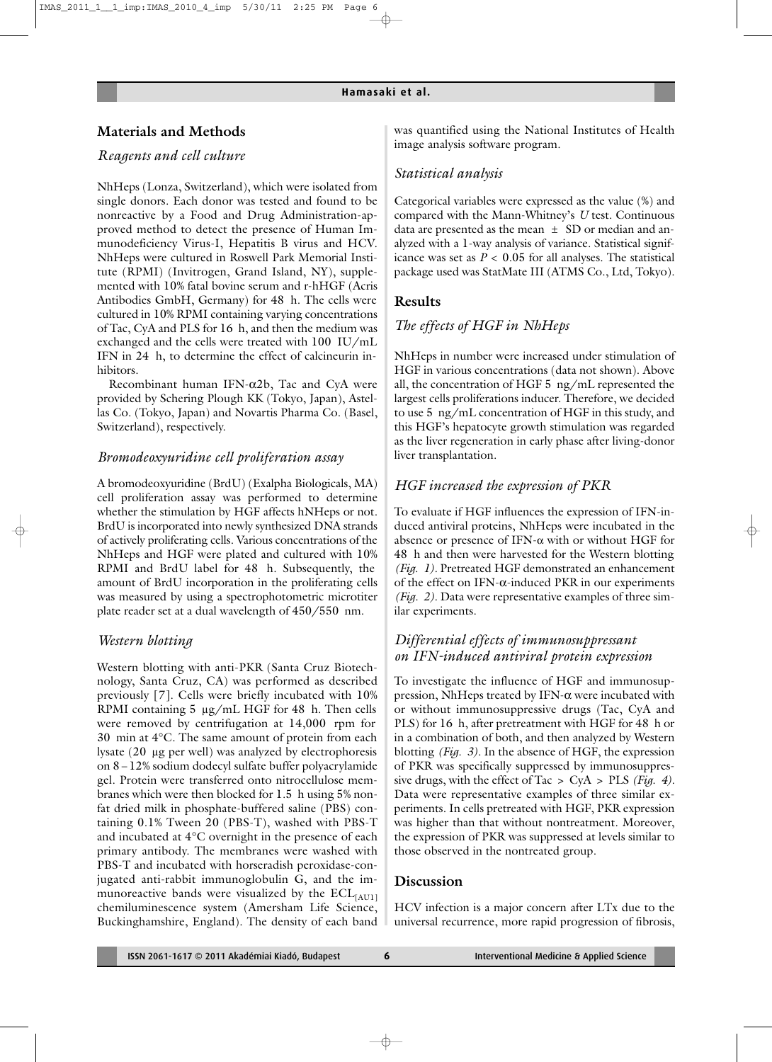## **Materials and Methods**

## *Reagents and cell culture*

NhHeps (Lonza, Switzerland), which were isolated from single donors. Each donor was tested and found to be nonreactive by a Food and Drug Administration-approved method to detect the presence of Human Immunodeficiency Virus-I, Hepatitis B virus and HCV. NhHeps were cultured in Roswell Park Memorial Institute (RPMI) (Invitrogen, Grand Island, NY), supplemented with 10% fatal bovine serum and r-hHGF (Acris Antibodies GmbH, Germany) for 48 h. The cells were cultured in 10% RPMI containing varying concentrations of Tac, CyA and PLS for 16 h, and then the medium was exchanged and the cells were treated with 100 IU/mL IFN in 24 h, to determine the effect of calcineurin inhibitors.

Recombinant human IFN-α2b, Tac and CyA were provided by Schering Plough KK (Tokyo, Japan), Astellas Co. (Tokyo, Japan) and Novartis Pharma Co. (Basel, Switzerland), respectively.

#### *Bromodeoxyuridine cell proliferation assay*

A bromodeoxyuridine (BrdU) (Exalpha Biologicals, MA) cell proliferation assay was performed to determine whether the stimulation by HGF affects hNHeps or not. BrdU is incorporated into newly synthesized DNA strands of actively proliferating cells. Various concentrations of the NhHeps and HGF were plated and cultured with 10% RPMI and BrdU label for 48 h. Subsequently, the amount of BrdU incorporation in the proliferating cells was measured by using a spectrophotometric microtiter plate reader set at a dual wavelength of 450/550 nm.

#### *Western blotting*

Western blotting with anti-PKR (Santa Cruz Biotechnology, Santa Cruz, CA) was performed as described previously [7]. Cells were briefly incubated with 10% RPMI containing 5 µg/mL HGF for 48 h. Then cells were removed by centrifugation at 14,000 rpm for 30 min at 4°C. The same amount of protein from each lysate (20 µg per well) was analyzed by electrophoresis on 8−12% sodium dodecyl sulfate buffer polyacrylamide gel. Protein were transferred onto nitrocellulose membranes which were then blocked for 1.5 h using 5% nonfat dried milk in phosphate-buffered saline (PBS) containing 0.1% Tween 20 (PBS-T), washed with PBS-T and incubated at 4°C overnight in the presence of each primary antibody. The membranes were washed with PBS-T and incubated with horseradish peroxidase-conjugated anti-rabbit immunoglobulin G, and the immunoreactive bands were visualized by the  $ECL$ <sub>[AU1]</sub> chemiluminescence system (Amersham Life Science, Buckinghamshire, England). The density of each band

was quantified using the National Institutes of Health image analysis software program.

#### *Statistical analysis*

Categorical variables were expressed as the value (%) and compared with the Mann-Whitney's *U* test. Continuous data are presented as the mean  $\pm$  SD or median and analyzed with a 1-way analysis of variance. Statistical significance was set as  $P < 0.05$  for all analyses. The statistical package used was StatMate III (ATMS Co., Ltd, Tokyo).

#### **Results**

#### *The effects of HGF in NhHeps*

NhHeps in number were increased under stimulation of HGF in various concentrations (data not shown). Above all, the concentration of HGF 5 ng/mL represented the largest cells proliferations inducer. Therefore, we decided to use 5 ng/mL concentration of HGF in this study, and this HGF's hepatocyte growth stimulation was regarded as the liver regeneration in early phase after living-donor liver transplantation.

#### *HGF increased the expression of PKR*

To evaluate if HGF influences the expression of IFN-induced antiviral proteins, NhHeps were incubated in the absence or presence of IFN-α with or without HGF for 48 h and then were harvested for the Western blotting *(Fig. 1).* Pretreated HGF demonstrated an enhancement of the effect on IFN- $\alpha$ -induced PKR in our experiments *(Fig. 2).* Data were representative examples of three similar experiments.

## *Differential effects of immunosuppressant on IFN-induced antiviral protein expression*

To investigate the influence of HGF and immunosuppression, NhHeps treated by IFN-α were incubated with or without immunosuppressive drugs (Tac, CyA and PLS) for 16 h, after pretreatment with HGF for 48 h or in a combination of both, and then analyzed by Western blotting *(Fig. 3).* In the absence of HGF, the expression of PKR was specifically suppressed by immunosuppressive drugs, with the effect of Tac > CyA > PLS *(Fig. 4).* Data were representative examples of three similar experiments. In cells pretreated with HGF, PKR expression was higher than that without nontreatment. Moreover, the expression of PKR was suppressed at levels similar to those observed in the nontreated group.

#### **Discussion**

HCV infection is a major concern after LTx due to the universal recurrence, more rapid progression of fibrosis,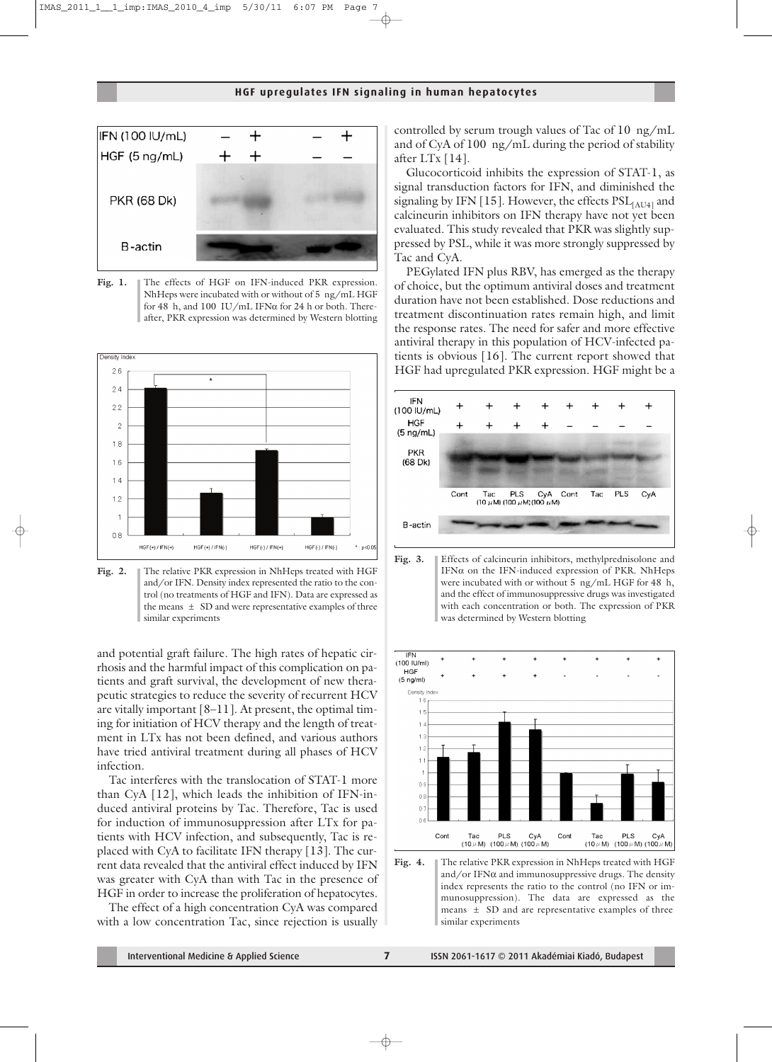

Fig. 1. The effects of HGF on IFN-induced PKR expression. NhHeps were incubated with or without of 5 ng/mL HGF for 48 h, and 100 IU/mL IFN $\alpha$  for 24 h or both. Thereafter, PKR expression was determined by Western blotting



**Fig. 2.** The relative PKR expression in NhHeps treated with HGF and/or IFN. Density index represented the ratio to the control (no treatments of HGF and IFN). Data are expressed as the means  $\pm$  SD and were representative examples of three similar experiments

and potential graft failure. The high rates of hepatic cirrhosis and the harmful impact of this complication on patients and graft survival, the development of new therapeutic strategies to reduce the severity of recurrent HCV are vitally important [8–11]. At present, the optimal timing for initiation of HCV therapy and the length of treatment in LTx has not been defined, and various authors have tried antiviral treatment during all phases of HCV infection.

Tac interferes with the translocation of STAT-1 more than CyA [12], which leads the inhibition of IFN-induced antiviral proteins by Tac. Therefore, Tac is used for induction of immunosuppression after LTx for patients with HCV infection, and subsequently, Tac is replaced with CyA to facilitate IFN therapy [13]. The current data revealed that the antiviral effect induced by IFN was greater with CyA than with Tac in the presence of HGF in order to increase the proliferation of hepatocytes.

The effect of a high concentration CyA was compared with a low concentration Tac, since rejection is usually controlled by serum trough values of Tac of 10 ng/mL and of CyA of 100 ng/mL during the period of stability after LTx [14].

Glucocorticoid inhibits the expression of STAT-1, as signal transduction factors for IFN, and diminished the signaling by IFN [15]. However, the effects  $PSL$ <sub>[AU4]</sub> and calcineurin inhibitors on IFN therapy have not yet been evaluated. This study revealed that PKR was slightly suppressed by PSL, while it was more strongly suppressed by Tac and CyA.

PEGylated IFN plus RBV, has emerged as the therapy of choice, but the optimum antiviral doses and treatment duration have not been established. Dose reductions and treatment discontinuation rates remain high, and limit the response rates. The need for safer and more effective antiviral therapy in this population of HCV-infected patients is obvious [16]. The current report showed that HGF had upregulated PKR expression. HGF might be a



Fig. 3. Effects of calcineurin inhibitors, methylprednisolone and IFN $\alpha$  on the IFN-induced expression of PKR. NhHeps were incubated with or without 5 ng/mL HGF for 48 h, and the effect of immunosuppressive drugs was investigated with each concentration or both. The expression of PKR was determined by Western blotting